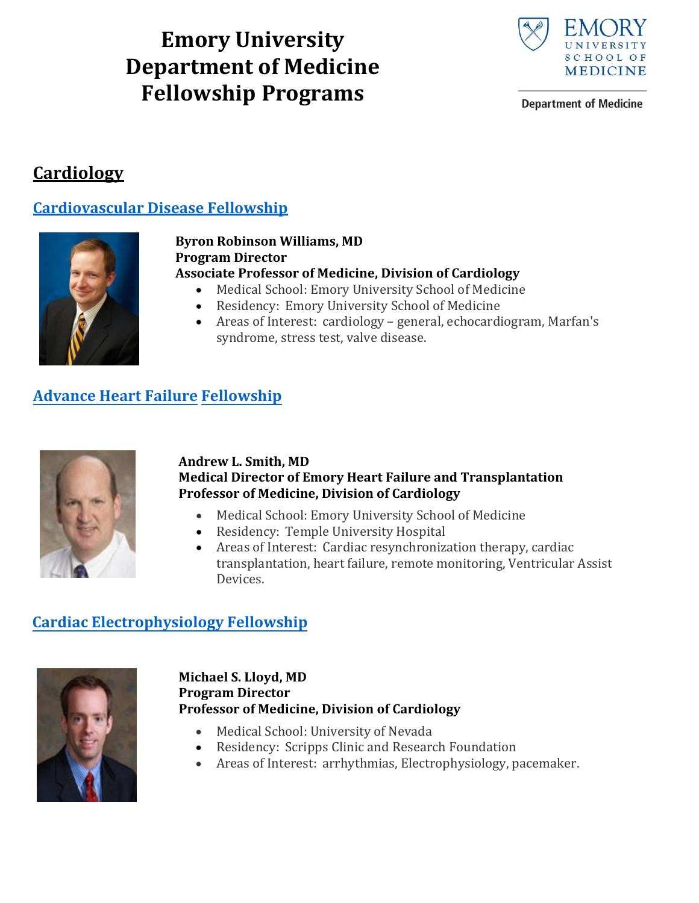# **Emory University Department of Medicine Fellowship Programs**



**Department of Medicine** 

## **Cardiology**

### **[Cardiovascular Disease Fellowship](http://medicine.emory.edu/cardiology/education/cardiovascular-disease-fellowship.html#Cardiovascular Disease Fellowship)**



#### **Byron Robinson Williams, MD Program Director Associate Professor of Medicine, Division of Cardiology**

- Medical School: Emory University School of Medicine
- Residency: Emory University School of Medicine
- Areas of Interest: cardiology general, echocardiogram, Marfan's syndrome, stress test, valve disease.

## **Advance Heart Failure Fellowship**



#### **Andrew L. Smith, MD Medical Director of Emory Heart Failure and Transplantation Professor of Medicine, Division of Cardiology**

- Medical School: Emory University School of Medicine
- Residency: Temple University Hospital
- Areas of Interest: Cardiac resynchronization therapy, cardiac transplantation, heart failure, remote monitoring, Ventricular Assist Devices.

### **Cardiac Electrophysiology Fellowship**



### **Michael S. Lloyd, MD Program Director Professor of Medicine, Division of Cardiology**

- Medical School: University of Nevada
- Residency: Scripps Clinic and Research Foundation
- Areas of Interest: arrhythmias, Electrophysiology, pacemaker.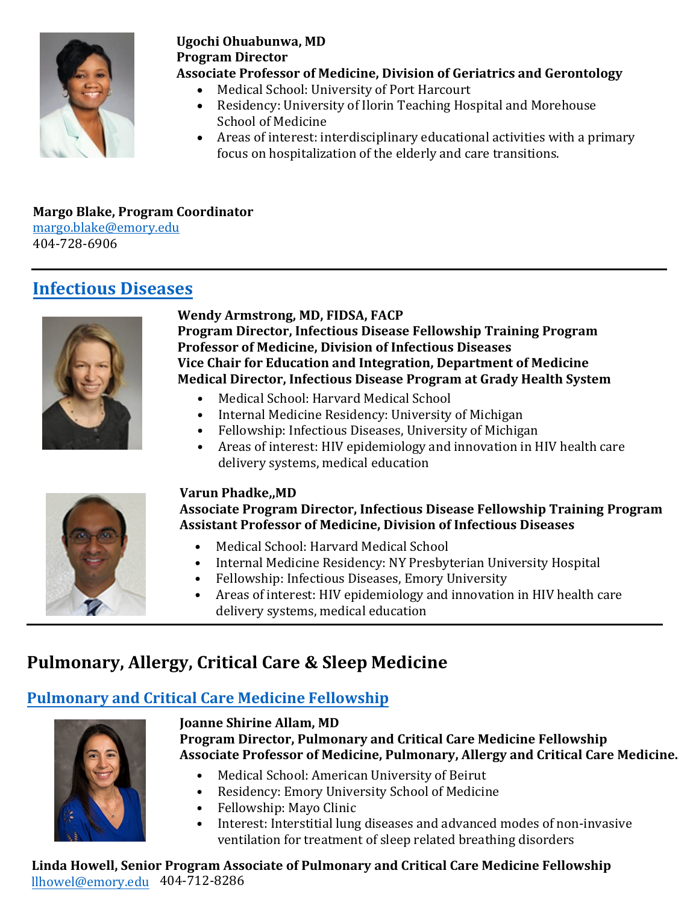## **Renal Medicine**

### **Nephrology Fellowship**



#### **James Bailey, MD Program Director Professor of Medicine, Division of Renal Medicine**

- Medical School: Jefferson Medical College
- Residency: Mercy Hospital
- Areas of interest: mechanisms of muscle wasting under conditions of chronic kidney disease.

**Melanie Elder, Program Coordinator, Renal Fellowship mvelder@emory.edu** 

## **Pulmonary, Allergy, Critical Care & Sleep Medicine**

### **Pulmonary and Critical Care Medicine Fellowship**



**Joanne Shirine Allam, MD Program Director, Pulmonary and Critical Care Medicine Fellowship Associate Professor of Medicine, Pulmonary, Allergy and Critical Care Medicine.**

- Medical School: American University of Beirut<br>• Residency: Emory University School of Medicin
- Residency: Emory University School of Medicine
- Fellowship: [Mayo Clinic](http://medicine.emory.edu/pulmonary-allergy-critical-care/education/pulmonary-criticalcare-fellowship.html)<br>• Interest: Interstitial lung
- Interest: Interstitial lung diseases and advanced modes of non-invasive ventilation for treatment of sleep related breathing disorders

ALice Muson Wood, Program Coordinator, Pulm alice.e.muson-wood@emory.edu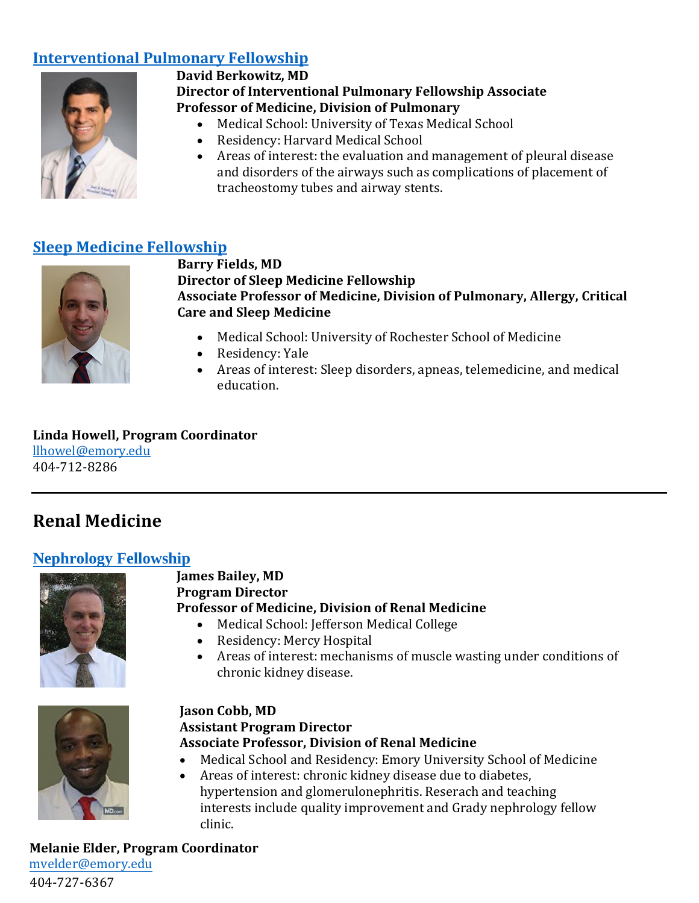## **[Rheumatology](http://medicine.emory.edu/pulmonary-allergy-critical-care/education/interventional-pulmonary-fellowship.html)**



#### **Alison Gizinski, MD, MS Program Director of Rheumatology Fellowship Program Assistant Professor of Medicine, Division of Rheumatology**

- Medical School: University of Washington
- Residency and Fellowship: University of Colorado

**Marcela Santamaria‐Appling, Program Coordinator**  [m.santamaria@emory.edu](http://medicine.emory.edu/education/sleep-medicine/index.html#Sleep Medicine Fellowship) 404-727-5328

### **Sleep Medicine Fellowship**



#### **Barry Fields, MD Director of Sleep Medicine Fellowship Associate Professor of Medicine, Division of Pulmonary, Allergy, Critical Care and Sleep Medicine**

- Medical School: University of Rochester School of Medicine
- Residency: Yale
- Areas of interest: Sleep disorders, apneas, telemedicine, and medical education.

**Linda Howell, Program Coordinator**  llhowel@emor[y.edu](http://medicine.emory.edu/renal-medicine/education/nephrology-fellowship.html) 404-712-8286